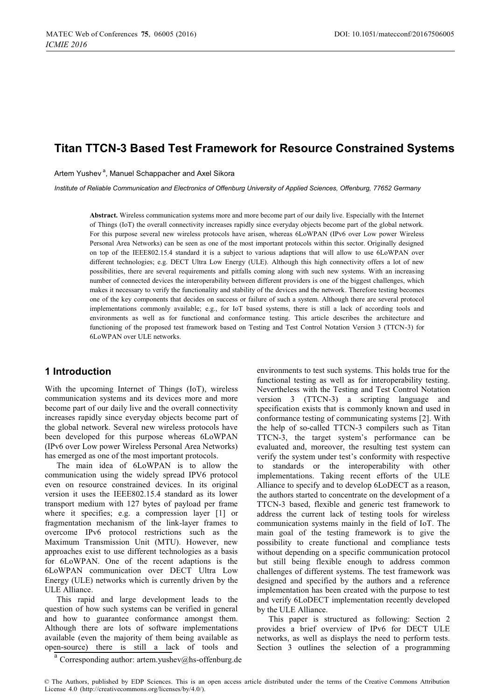# **Titan TTCN-3 Based Test Framework for Resource Constrained Systems**

Artem Yushev<sup>a</sup>, Manuel Schappacher and Axel Sikora

*Institute of Reliable Communication and Electronics of Offenburg University of Applied Sciences, Offenburg, 77652 Germany* 

**Abstract.** Wireless communication systems more and more become part of our daily live. Especially with the Internet of Things (IoT) the overall connectivity increases rapidly since everyday objects become part of the global network. For this purpose several new wireless protocols have arisen, whereas 6LoWPAN (IPv6 over Low power Wireless Personal Area Networks) can be seen as one of the most important protocols within this sector. Originally designed on top of the IEEE802.15.4 standard it is a subject to various adaptions that will allow to use 6LoWPAN over different technologies; e.g. DECT Ultra Low Energy (ULE). Although this high connectivity offers a lot of new possibilities, there are several requirements and pitfalls coming along with such new systems. With an increasing number of connected devices the interoperability between different providers is one of the biggest challenges, which makes it necessary to verify the functionality and stability of the devices and the network. Therefore testing becomes one of the key components that decides on success or failure of such a system. Although there are several protocol implementations commonly available; e.g., for IoT based systems, there is still a lack of according tools and environments as well as for functional and conformance testing. This article describes the architecture and functioning of the proposed test framework based on Testing and Test Control Notation Version 3 (TTCN-3) for 6LoWPAN over ULE networks.

## **1 Introduction**

With the upcoming Internet of Things (IoT), wireless communication systems and its devices more and more become part of our daily live and the overall connectivity increases rapidly since everyday objects become part of the global network. Several new wireless protocols have been developed for this purpose whereas 6LoWPAN (IPv6 over Low power Wireless Personal Area Networks) has emerged as one of the most important protocols.

The main idea of 6LoWPAN is to allow the communication using the widely spread IPV6 protocol even on resource constrained devices. In its original version it uses the IEEE802.15.4 standard as its lower transport medium with 127 bytes of payload per frame where it specifies; e.g. a compression layer [1] or fragmentation mechanism of the link-layer frames to overcome IPv6 protocol restrictions such as the Maximum Transmission Unit (MTU). However, new approaches exist to use different technologies as a basis for 6LoWPAN. One of the recent adaptions is the 6LoWPAN communication over DECT Ultra Low Energy (ULE) networks which is currently driven by the ULE Alliance.

This rapid and large development leads to the question of how such systems can be verified in general and how to guarantee conformance amongst them. Although there are lots of software implementations available (even the majority of them being available as open-source) there is still a lack of tools and

environments to test such systems. This holds true for the functional testing as well as for interoperability testing. Nevertheless with the Testing and Test Control Notation version 3 (TTCN-3) a scripting language and specification exists that is commonly known and used in conformance testing of communicating systems [2]. With the help of so-called TTCN-3 compilers such as Titan TTCN-3, the target system's performance can be evaluated and, moreover, the resulting test system can verify the system under test's conformity with respective to standards or the interoperability with other implementations. Taking recent efforts of the ULE Alliance to specify and to develop 6LoDECT as a reason, the authors started to concentrate on the development of a TTCN-3 based, flexible and generic test framework to address the current lack of testing tools for wireless communication systems mainly in the field of IoT. The main goal of the testing framework is to give the possibility to create functional and compliance tests without depending on a specific communication protocol but still being flexible enough to address common challenges of different systems. The test framework was designed and specified by the authors and a reference implementation has been created with the purpose to test and verify 6LoDECT implementation recently developed by the ULE Alliance.

This paper is structured as following: Section 2 provides a brief overview of IPv6 for DECT ULE networks, as well as displays the need to perform tests. Section 3 outlines the selection of a programming

<sup>a</sup> Corresponding author: artem.yushev@hs-offenburg.de

© The Authors, published by EDP Sciences. This is an open access article distributed under the terms of the Creative Commons Attribution License 4.0 (http://creativecommons.org/licenses/by/4.0/).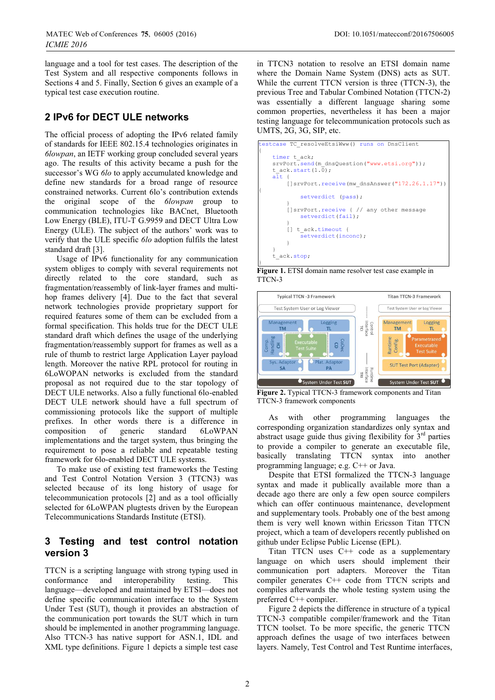language and a tool for test cases. The description of the Test System and all respective components follows in Sections 4 and 5. Finally, Section 6 gives an example of a typical test case execution routine.

# **2 IPv6 for DECT ULE networks**

The official process of adopting the IPv6 related family of standards for IEEE 802.15.4 technologies originates in *6lowpan*, an IETF working group concluded several years ago. The results of this activity became a push for the successor's WG *6lo* to apply accumulated knowledge and define new standards for a broad range of resource constrained networks. Current 6lo's contribution extends the original scope of the *6lowpan* group to communication technologies like BACnet, Bluetooth Low Energy (BLE), ITU-T G.9959 and DECT Ultra Low Energy (ULE). The subject of the authors' work was to verify that the ULE specific *6lo* adoption fulfils the latest standard draft [3].

Usage of IPv6 functionality for any communication system obliges to comply with several requirements not directly related to the core standard, such as fragmentation/reassembly of link-layer frames and multihop frames delivery [4]. Due to the fact that several network technologies provide proprietary support for required features some of them can be excluded from a formal specification. This holds true for the DECT ULE standard draft which defines the usage of the underlying fragmentation/reassembly support for frames as well as a rule of thumb to restrict large Application Layer payload length. Moreover the native RPL protocol for routing in 6LoWOPAN networks is excluded from the standard proposal as not required due to the star topology of DECT ULE networks. Also a fully functional 6lo-enabled DECT ULE network should have a full spectrum of commissioning protocols like the support of multiple prefixes. In other words there is a difference in composition of generic standard 6LoWPAN implementations and the target system, thus bringing the requirement to pose a reliable and repeatable testing framework for 6lo-enabled DECT ULE systems.

To make use of existing test frameworks the Testing and Test Control Notation Version 3 (TTCN3) was selected because of its long history of usage for telecommunication protocols [2] and as a tool officially selected for 6LoWPAN plugtests driven by the European Telecommunications Standards Institute (ETSI).

# **3 Testing and test control notation version 3**

TTCN is a scripting language with strong typing used in conformance and interoperability testing. This language—developed and maintained by ETSI—does not define specific communication interface to the System Under Test (SUT), though it provides an abstraction of the communication port towards the SUT which in turn should be implemented in another programming language. Also TTCN-3 has native support for ASN.1, IDL and XML type definitions. Figure 1 depicts a simple test case

in TTCN3 notation to resolve an ETSI domain name where the Domain Name System (DNS) acts as SUT. While the current TTCN version is three (TTCN-3), the previous Tree and Tabular Combined Notation (TTCN-2) was essentially a different language sharing some common properties, nevertheless it has been a major testing language for telecommunication protocols such as UMTS, 2G, 3G, SIP, etc.



**Figure 1.** ETSI domain name resolver test case example in TTCN-3



**Figure 2.** Typical TTCN-3 framework components and Titan TTCN-3 framework components

As with other programming languages the corresponding organization standardizes only syntax and abstract usage guide thus giving flexibility for  $3<sup>rd</sup>$  parties to provide a compiler to generate an executable file, basically translating TTCN syntax into another programming language; e.g. C++ or Java.

Despite that ETSI formalized the TTCN-3 language syntax and made it publically available more than a decade ago there are only a few open source compilers which can offer continuous maintenance, development and supplementary tools. Probably one of the best among them is very well known within Ericsson Titan TTCN project, which a team of developers recently published on github under Eclipse Public License (EPL).

Titan TTCN uses C++ code as a supplementary language on which users should implement their communication port adapters. Moreover the Titan compiler generates C++ code from TTCN scripts and compiles afterwards the whole testing system using the preferred C++ compiler.

Figure 2 depicts the difference in structure of a typical TTCN-3 compatible compiler/framework and the Titan TTCN toolset. To be more specific, the generic TTCN approach defines the usage of two interfaces between layers. Namely, Test Control and Test Runtime interfaces,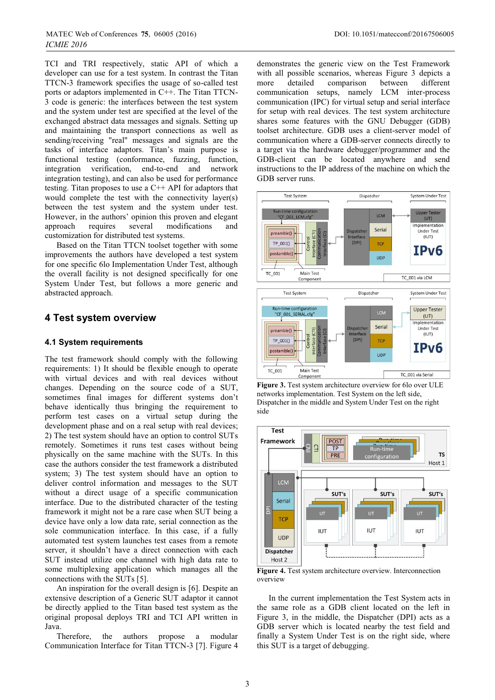TCI and TRI respectively, static API of which a developer can use for a test system. In contrast the Titan TTCN-3 framework specifies the usage of so-called test ports or adaptors implemented in C++. The Titan TTCN-3 code is generic: the interfaces between the test system and the system under test are specified at the level of the exchanged abstract data messages and signals. Setting up and maintaining the transport connections as well as sending/receiving "real" messages and signals are the tasks of interface adaptors. Titan's main purpose is functional testing (conformance, fuzzing, function, integration verification, end-to-end and network integration verification, end-to-end and network integration testing), and can also be used for performance testing. Titan proposes to use a C++ API for adaptors that would complete the test with the connectivity layer(s) between the test system and the system under test. However, in the authors' opinion this proven and elegant approach requires several modifications and customization for distributed test systems.

Based on the Titan TTCN toolset together with some improvements the authors have developed a test system for one specific 6lo Implementation Under Test, although the overall facility is not designed specifically for one System Under Test, but follows a more generic and abstracted approach.

### **4 Test system overview**

### **4.1 System requirements**

The test framework should comply with the following requirements: 1) It should be flexible enough to operate with virtual devices and with real devices without changes. Depending on the source code of a SUT, sometimes final images for different systems don't behave identically thus bringing the requirement to perform test cases on a virtual setup during the development phase and on a real setup with real devices; 2) The test system should have an option to control SUTs remotely. Sometimes it runs test cases without being physically on the same machine with the SUTs. In this case the authors consider the test framework a distributed system; 3) The test system should have an option to deliver control information and messages to the SUT without a direct usage of a specific communication interface. Due to the distributed character of the testing framework it might not be a rare case when SUT being a device have only a low data rate, serial connection as the sole communication interface. In this case, if a fully automated test system launches test cases from a remote server, it shouldn't have a direct connection with each SUT instead utilize one channel with high data rate to some multiplexing application which manages all the connections with the SUTs [5].

An inspiration for the overall design is [6]. Despite an extensive description of a Generic SUT adaptor it cannot be directly applied to the Titan based test system as the original proposal deploys TRI and TCI API written in Java.

Therefore, the authors propose a modular Communication Interface for Titan TTCN-3 [7]. Figure 4

demonstrates the generic view on the Test Framework with all possible scenarios, whereas Figure 3 depicts a more detailed comparison between different communication setups, namely LCM inter-process communication (IPC) for virtual setup and serial interface for setup with real devices. The test system architecture shares some features with the GNU Debugger (GDB) toolset architecture. GDB uses a client-server model of communication where a GDB-server connects directly to a target via the hardware debugger/programmer and the GDB-client can be located anywhere and send instructions to the IP address of the machine on which the GDB server runs.



**Figure 3.** Test system architecture overview for 6lo over ULE networks implementation. Test System on the left side, Dispatcher in the middle and System Under Test on the right side



**Figure 4.** Test system architecture overview. Interconnection overview

In the current implementation the Test System acts in the same role as a GDB client located on the left in Figure 3, in the middle, the Dispatcher (DPI) acts as a GDB server which is located nearby the test field and finally a System Under Test is on the right side, where this SUT is a target of debugging.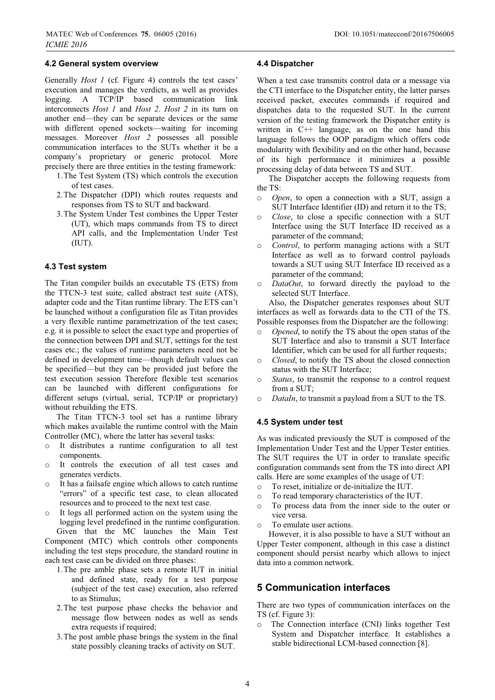#### **4.2 General system overview**

Generally *Host 1* (cf. Figure 4) controls the test cases' execution and manages the verdicts, as well as provides logging. A TCP/IP based communication link interconnects *Host 1* and *Host 2*. *Host 2* in its turn on another end—they can be separate devices or the same with different opened sockets—waiting for incoming messages. Moreover *Host 2* possesses all possible communication interfaces to the SUTs whether it be a company's proprietary or generic protocol. More precisely there are three entities in the testing framework:

- 1.The Test System (TS) which controls the execution of test cases.
- 2.The Dispatcher (DPI) which routes requests and responses from TS to SUT and backward.
- 3.The System Under Test combines the Upper Tester (UT), which maps commands from TS to direct API calls, and the Implementation Under Test (IUT).

#### **4.3 Test system**

The Titan compiler builds an executable TS (ETS) from the TTCN-3 test suite, called abstract test suite (ATS), adapter code and the Titan runtime library. The ETS can't be launched without a configuration file as Titan provides a very flexible runtime parametrization of the test cases; e.g. it is possible to select the exact type and properties of the connection between DPI and SUT, settings for the test cases etc.; the values of runtime parameters need not be defined in development time—though default values can be specified—but they can be provided just before the test execution session Therefore flexible test scenarios can be launched with different configurations for different setups (virtual, serial, TCP/IP or proprietary) without rebuilding the ETS.

The Titan TTCN-3 tool set has a runtime library which makes available the runtime control with the Main Controller (MC), where the latter has several tasks:

- o It distributes a runtime configuration to all test components.
- o It controls the execution of all test cases and generates verdicts.
- o It has a failsafe engine which allows to catch runtime "errors" of a specific test case, to clean allocated resources and to proceed to the next test case.
- o It logs all performed action on the system using the logging level predefined in the runtime configuration. Given that the MC launches the Main Test

Component (MTC) which controls other components including the test steps procedure, the standard routine in each test case can be divided on three phases:

- 1.The pre amble phase sets a remote IUT in initial and defined state, ready for a test purpose (subject of the test case) execution, also referred to as Stimulus;
- 2.The test purpose phase checks the behavior and message flow between nodes as well as sends extra requests if required;
- 3.The post amble phase brings the system in the final state possibly cleaning tracks of activity on SUT.

#### **4.4 Dispatcher**

When a test case transmits control data or a message via the CTI interface to the Dispatcher entity, the latter parses received packet, executes commands if required and dispatches data to the requested SUT. In the current version of the testing framework the Dispatcher entity is written in C++ language, as on the one hand this language follows the OOP paradigm which offers code modularity with flexibility and on the other hand, because of its high performance it minimizes a possible processing delay of data between TS and SUT.

The Dispatcher accepts the following requests from the TS:

- o *Open*, to open a connection with a SUT, assign a SUT Interface Identifier (ID) and return it to the TS;
- o *Close*, to close a specific connection with a SUT Interface using the SUT Interface ID received as a parameter of the command;
- o *Control*, to perform managing actions with a SUT Interface as well as to forward control payloads towards a SUT using SUT Interface ID received as a parameter of the command;
- o *DataOut*, to forward directly the payload to the selected SUT Interface.

Also, the Dispatcher generates responses about SUT interfaces as well as forwards data to the CTI of the TS. Possible responses from the Dispatcher are the following:

- o *Opened*, to notify the TS about the open status of the SUT Interface and also to transmit a SUT Interface Identifier, which can be used for all further requests;
- o *Closed*, to notify the TS about the closed connection status with the SUT Interface;
- o *Status*, to transmit the response to a control request from a SUT;
- o *DataIn*, to transmit a payload from a SUT to the TS.

#### **4.5 System under test**

As was indicated previously the SUT is composed of the Implementation Under Test and the Upper Tester entities. The SUT requires the UT in order to translate specific configuration commands sent from the TS into direct API calls. Here are some examples of the usage of UT:

- o To reset, initialize or de-initialize the IUT.
- o To read temporary characteristics of the IUT.
- o To process data from the inner side to the outer or vice versa.
- o To emulate user actions.

However, it is also possible to have a SUT without an Upper Tester component, although in this case a distinct component should persist nearby which allows to inject data into a common network.

### **5 Communication interfaces**

There are two types of communication interfaces on the TS (cf. Figure 3):

o The Connection interface (CNI) links together Test System and Dispatcher interface. It establishes a stable bidirectional LCM-based connection [8].